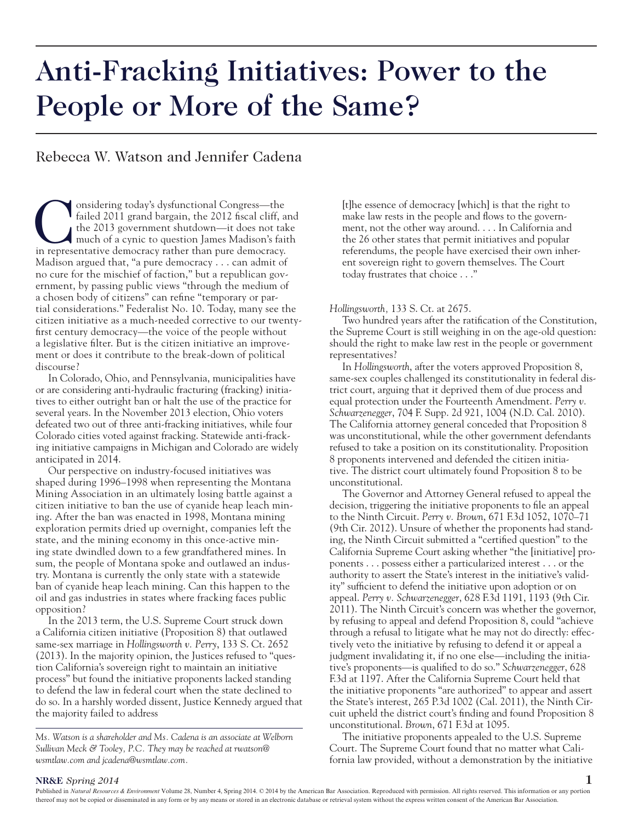# Anti-Fracking Initiatives: Power to the People or More of the Same?

# Rebecca W. Watson and Jennifer Cadena

Considering today's dysfunctional Congress—the failed 2011 grand bargain, the 2012 fiscal cliff, a the 2013 government shutdown—it does not tal much of a cynic to question James Madison's failing representative democracy r failed 2011 grand bargain, the 2012 fiscal cliff, and the 2013 government shutdown—it does not take much of a cynic to question James Madison's faith in representative democracy rather than pure democracy. Madison argued that, "a pure democracy . . . can admit of no cure for the mischief of faction," but a republican government, by passing public views "through the medium of a chosen body of citizens" can refine "temporary or partial considerations." Federalist No. 10. Today, many see the citizen initiative as a much-needed corrective to our twentyfirst century democracy—the voice of the people without a legislative filter. But is the citizen initiative an improvement or does it contribute to the break-down of political discourse?

In Colorado, Ohio, and Pennsylvania, municipalities have or are considering anti-hydraulic fracturing (fracking) initiatives to either outright ban or halt the use of the practice for several years. In the November 2013 election, Ohio voters defeated two out of three anti-fracking initiatives, while four Colorado cities voted against fracking. Statewide anti-fracking initiative campaigns in Michigan and Colorado are widely anticipated in 2014.

Our perspective on industry-focused initiatives was shaped during 1996–1998 when representing the Montana Mining Association in an ultimately losing battle against a citizen initiative to ban the use of cyanide heap leach mining. After the ban was enacted in 1998, Montana mining exploration permits dried up overnight, companies left the state, and the mining economy in this once-active mining state dwindled down to a few grandfathered mines. In sum, the people of Montana spoke and outlawed an industry. Montana is currently the only state with a statewide ban of cyanide heap leach mining. Can this happen to the oil and gas industries in states where fracking faces public opposition?

In the 2013 term, the U.S. Supreme Court struck down a California citizen initiative (Proposition 8) that outlawed same-sex marriage in *Hollingsworth v. Perry*, 133 S. Ct. 2652 (2013). In the majority opinion, the Justices refused to "question California's sovereign right to maintain an initiative process" but found the initiative proponents lacked standing to defend the law in federal court when the state declined to do so. In a harshly worded dissent, Justice Kennedy argued that the majority failed to address

*Ms. Watson is a shareholder and Ms. Cadena is an associate at Welborn Sullivan Meck & Tooley, P.C. They may be reached at rwatson@ wsmtlaw.com and jcadena@wsmtlaw.com.*

[t]he essence of democracy [which] is that the right to make law rests in the people and flows to the government, not the other way around. . . . In California and the 26 other states that permit initiatives and popular referendums, the people have exercised their own inherent sovereign right to govern themselves. The Court today frustrates that choice . . ."

#### *Hollingsworth,* 133 S. Ct. at 2675.

Two hundred years after the ratification of the Constitution, the Supreme Court is still weighing in on the age-old question: should the right to make law rest in the people or government representatives?

In *Hollingsworth*, after the voters approved Proposition 8, same-sex couples challenged its constitutionality in federal district court, arguing that it deprived them of due process and equal protection under the Fourteenth Amendment. *Perry v. Schwarzenegger*, 704 F. Supp. 2d 921, 1004 (N.D. Cal. 2010). The California attorney general conceded that Proposition 8 was unconstitutional, while the other government defendants refused to take a position on its constitutionality. Proposition 8 proponents intervened and defended the citizen initiative. The district court ultimately found Proposition 8 to be unconstitutional.

The Governor and Attorney General refused to appeal the decision, triggering the initiative proponents to file an appeal to the Ninth Circuit. *Perry v. Brown*, 671 F.3d 1052, 1070–71 (9th Cir. 2012). Unsure of whether the proponents had standing, the Ninth Circuit submitted a "certified question" to the California Supreme Court asking whether "the [initiative] proponents . . . possess either a particularized interest . . . or the authority to assert the State's interest in the initiative's validity" sufficient to defend the initiative upon adoption or on appeal. *Perry v. Schwarzenegger*, 628 F.3d 1191, 1193 (9th Cir. 2011). The Ninth Circuit's concern was whether the governor, by refusing to appeal and defend Proposition 8, could "achieve through a refusal to litigate what he may not do directly: effectively veto the initiative by refusing to defend it or appeal a judgment invalidating it, if no one else—including the initiative's proponents—is qualified to do so." *Schwarzenegger*, 628 F.3d at 1197. After the California Supreme Court held that the initiative proponents "are authorized" to appear and assert the State's interest, 265 P.3d 1002 (Cal. 2011), the Ninth Circuit upheld the district court's finding and found Proposition 8 unconstitutional. *Brown*, 671 F.3d at 1095.

The initiative proponents appealed to the U.S. Supreme Court. The Supreme Court found that no matter what California law provided, without a demonstration by the initiative

### **NR&E** *Spring 2014* **1**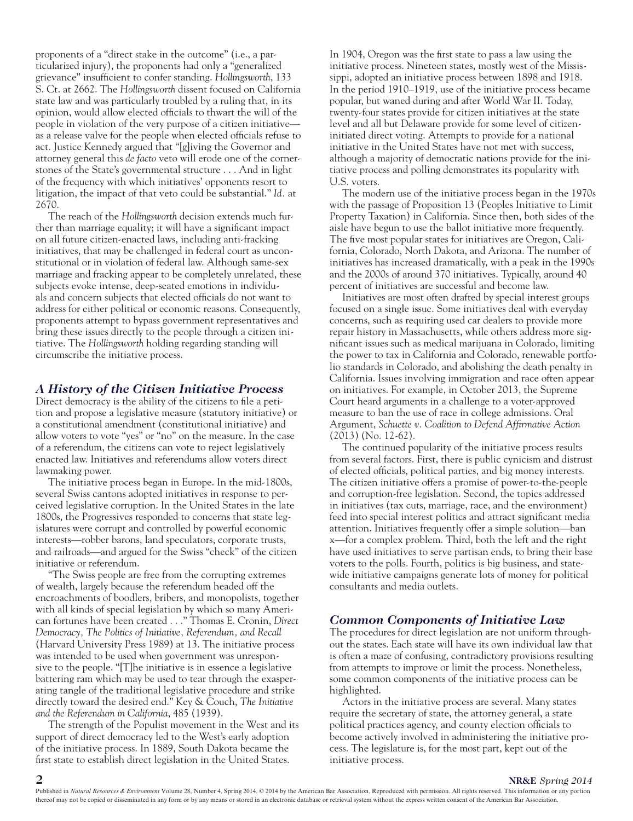proponents of a "direct stake in the outcome" (i.e., a particularized injury), the proponents had only a "generalized grievance" insufficient to confer standing. *Hollingsworth*, 133 S. Ct. at 2662. The *Hollingsworth* dissent focused on California state law and was particularly troubled by a ruling that, in its opinion, would allow elected officials to thwart the will of the people in violation of the very purpose of a citizen initiative as a release valve for the people when elected officials refuse to act. Justice Kennedy argued that "[g]iving the Governor and attorney general this *de facto* veto will erode one of the cornerstones of the State's governmental structure . . . And in light of the frequency with which initiatives' opponents resort to litigation, the impact of that veto could be substantial." *Id.* at 2670.

The reach of the *Hollingsworth* decision extends much further than marriage equality; it will have a significant impact on all future citizen-enacted laws, including anti-fracking initiatives, that may be challenged in federal court as unconstitutional or in violation of federal law. Although same-sex marriage and fracking appear to be completely unrelated, these subjects evoke intense, deep-seated emotions in individuals and concern subjects that elected officials do not want to address for either political or economic reasons. Consequently, proponents attempt to bypass government representatives and bring these issues directly to the people through a citizen initiative. The *Hollingsworth* holding regarding standing will circumscribe the initiative process.

## *A History of the Citizen Initiative Process*

Direct democracy is the ability of the citizens to file a petition and propose a legislative measure (statutory initiative) or a constitutional amendment (constitutional initiative) and allow voters to vote "yes" or "no" on the measure. In the case of a referendum, the citizens can vote to reject legislatively enacted law. Initiatives and referendums allow voters direct lawmaking power.

The initiative process began in Europe. In the mid-1800s, several Swiss cantons adopted initiatives in response to perceived legislative corruption. In the United States in the late 1800s, the Progressives responded to concerns that state legislatures were corrupt and controlled by powerful economic interests—robber barons, land speculators, corporate trusts, and railroads—and argued for the Swiss "check" of the citizen initiative or referendum.

"The Swiss people are free from the corrupting extremes of wealth, largely because the referendum headed off the encroachments of boodlers, bribers, and monopolists, together with all kinds of special legislation by which so many American fortunes have been created . . ." Thomas E. Cronin, *Direct Democracy, The Politics of Initiative, Referendum, and Recall* (Harvard University Press 1989) at 13. The initiative process was intended to be used when government was unresponsive to the people. "[T]he initiative is in essence a legislative battering ram which may be used to tear through the exasperating tangle of the traditional legislative procedure and strike directly toward the desired end." Key & Couch, *The Initiative and the Referendum in California*, 485 (1939).

The strength of the Populist movement in the West and its support of direct democracy led to the West's early adoption of the initiative process. In 1889, South Dakota became the first state to establish direct legislation in the United States.

In 1904, Oregon was the first state to pass a law using the initiative process. Nineteen states, mostly west of the Mississippi, adopted an initiative process between 1898 and 1918. In the period 1910–1919, use of the initiative process became popular, but waned during and after World War II. Today, twenty-four states provide for citizen initiatives at the state level and all but Delaware provide for some level of citizeninitiated direct voting. Attempts to provide for a national initiative in the United States have not met with success, although a majority of democratic nations provide for the initiative process and polling demonstrates its popularity with U.S. voters.

The modern use of the initiative process began in the 1970s with the passage of Proposition 13 (Peoples Initiative to Limit Property Taxation) in California. Since then, both sides of the aisle have begun to use the ballot initiative more frequently. The five most popular states for initiatives are Oregon, California, Colorado, North Dakota, and Arizona. The number of initiatives has increased dramatically, with a peak in the 1990s and the 2000s of around 370 initiatives. Typically, around 40 percent of initiatives are successful and become law.

Initiatives are most often drafted by special interest groups focused on a single issue. Some initiatives deal with everyday concerns, such as requiring used car dealers to provide more repair history in Massachusetts, while others address more significant issues such as medical marijuana in Colorado, limiting the power to tax in California and Colorado, renewable portfolio standards in Colorado, and abolishing the death penalty in California. Issues involving immigration and race often appear on initiatives. For example, in October 2013, the Supreme Court heard arguments in a challenge to a voter-approved measure to ban the use of race in college admissions. Oral Argument, *Schuette v. Coalition to Defend Affirmative Action* (2013) (No. 12-62).

The continued popularity of the initiative process results from several factors. First, there is public cynicism and distrust of elected officials, political parties, and big money interests. The citizen initiative offers a promise of power-to-the-people and corruption-free legislation. Second, the topics addressed in initiatives (tax cuts, marriage, race, and the environment) feed into special interest politics and attract significant media attention. Initiatives frequently offer a simple solution—ban x—for a complex problem. Third, both the left and the right have used initiatives to serve partisan ends, to bring their base voters to the polls. Fourth, politics is big business, and statewide initiative campaigns generate lots of money for political consultants and media outlets.

#### *Common Components of Initiative Law*

The procedures for direct legislation are not uniform throughout the states. Each state will have its own individual law that is often a maze of confusing, contradictory provisions resulting from attempts to improve or limit the process. Nonetheless, some common components of the initiative process can be highlighted.

Actors in the initiative process are several. Many states require the secretary of state, the attorney general, a state political practices agency, and county election officials to become actively involved in administering the initiative process. The legislature is, for the most part, kept out of the initiative process.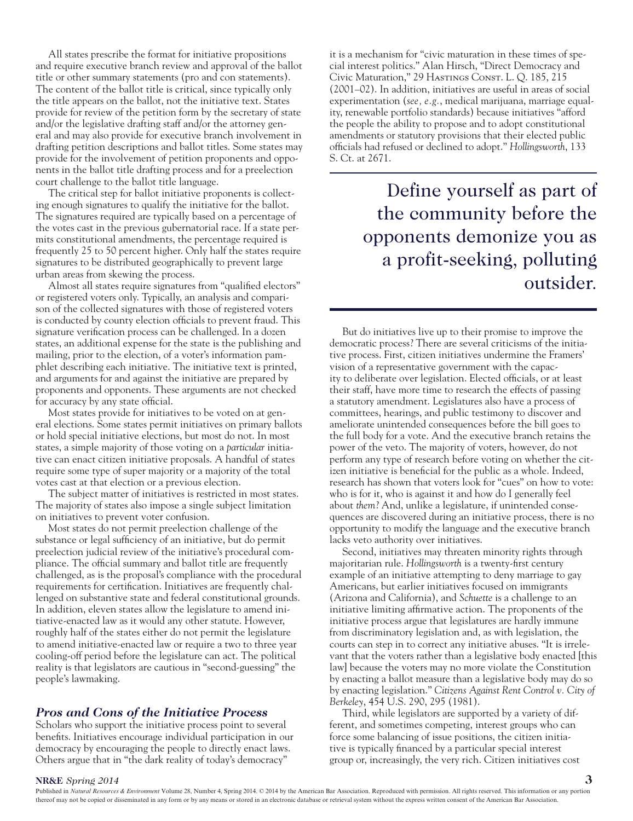All states prescribe the format for initiative propositions and require executive branch review and approval of the ballot title or other summary statements (pro and con statements). The content of the ballot title is critical, since typically only the title appears on the ballot, not the initiative text. States provide for review of the petition form by the secretary of state and/or the legislative drafting staff and/or the attorney general and may also provide for executive branch involvement in drafting petition descriptions and ballot titles. Some states may provide for the involvement of petition proponents and opponents in the ballot title drafting process and for a preelection court challenge to the ballot title language.

The critical step for ballot initiative proponents is collecting enough signatures to qualify the initiative for the ballot. The signatures required are typically based on a percentage of the votes cast in the previous gubernatorial race. If a state permits constitutional amendments, the percentage required is frequently 25 to 50 percent higher. Only half the states require signatures to be distributed geographically to prevent large urban areas from skewing the process.

Almost all states require signatures from "qualified electors" or registered voters only. Typically, an analysis and comparison of the collected signatures with those of registered voters is conducted by county election officials to prevent fraud. This signature verification process can be challenged. In a dozen states, an additional expense for the state is the publishing and mailing, prior to the election, of a voter's information pamphlet describing each initiative. The initiative text is printed, and arguments for and against the initiative are prepared by proponents and opponents. These arguments are not checked for accuracy by any state official.

Most states provide for initiatives to be voted on at general elections. Some states permit initiatives on primary ballots or hold special initiative elections, but most do not. In most states, a simple majority of those voting on a *particular* initiative can enact citizen initiative proposals. A handful of states require some type of super majority or a majority of the total votes cast at that election or a previous election.

The subject matter of initiatives is restricted in most states. The majority of states also impose a single subject limitation on initiatives to prevent voter confusion.

Most states do not permit preelection challenge of the substance or legal sufficiency of an initiative, but do permit preelection judicial review of the initiative's procedural compliance. The official summary and ballot title are frequently challenged, as is the proposal's compliance with the procedural requirements for certification. Initiatives are frequently challenged on substantive state and federal constitutional grounds. In addition, eleven states allow the legislature to amend initiative-enacted law as it would any other statute. However, roughly half of the states either do not permit the legislature to amend initiative-enacted law or require a two to three year cooling-off period before the legislature can act. The political reality is that legislators are cautious in "second-guessing" the people's lawmaking.

## *Pros and Cons of the Initiative Process*

Scholars who support the initiative process point to several benefits. Initiatives encourage individual participation in our democracy by encouraging the people to directly enact laws. Others argue that in "the dark reality of today's democracy"

it is a mechanism for "civic maturation in these times of special interest politics." Alan Hirsch, "Direct Democracy and Civic Maturation," 29 HASTINGS CONST. L. Q. 185, 215 (2001–02). In addition, initiatives are useful in areas of social experimentation (*see, e.g.*, medical marijuana, marriage equality, renewable portfolio standards) because initiatives "afford the people the ability to propose and to adopt constitutional amendments or statutory provisions that their elected public officials had refused or declined to adopt." *Hollingsworth*, 133 S. Ct. at 2671.

> Define yourself as part of the community before the opponents demonize you as a profit-seeking, polluting outsider.

But do initiatives live up to their promise to improve the democratic process? There are several criticisms of the initiative process. First, citizen initiatives undermine the Framers' vision of a representative government with the capacity to deliberate over legislation. Elected officials, or at least their staff, have more time to research the effects of passing a statutory amendment. Legislatures also have a process of committees, hearings, and public testimony to discover and ameliorate unintended consequences before the bill goes to the full body for a vote. And the executive branch retains the power of the veto. The majority of voters, however, do not perform any type of research before voting on whether the citizen initiative is beneficial for the public as a whole. Indeed, research has shown that voters look for "cues" on how to vote: who is for it, who is against it and how do I generally feel about *them*? And, unlike a legislature, if unintended consequences are discovered during an initiative process, there is no opportunity to modify the language and the executive branch lacks veto authority over initiatives.

Second, initiatives may threaten minority rights through majoritarian rule. *Hollingsworth* is a twenty-first century example of an initiative attempting to deny marriage to gay Americans, but earlier initiatives focused on immigrants (Arizona and California), and *Schuette* is a challenge to an initiative limiting affirmative action. The proponents of the initiative process argue that legislatures are hardly immune from discriminatory legislation and, as with legislation, the courts can step in to correct any initiative abuses. "It is irrelevant that the voters rather than a legislative body enacted [this law] because the voters may no more violate the Constitution by enacting a ballot measure than a legislative body may do so by enacting legislation." *Citizens Against Rent Control v. City of Berkeley*, 454 U.S. 290, 295 (1981).

Third, while legislators are supported by a variety of different, and sometimes competing, interest groups who can force some balancing of issue positions, the citizen initiative is typically financed by a particular special interest group or, increasingly, the very rich. Citizen initiatives cost

#### **NR&E** *Spring 2014* **3**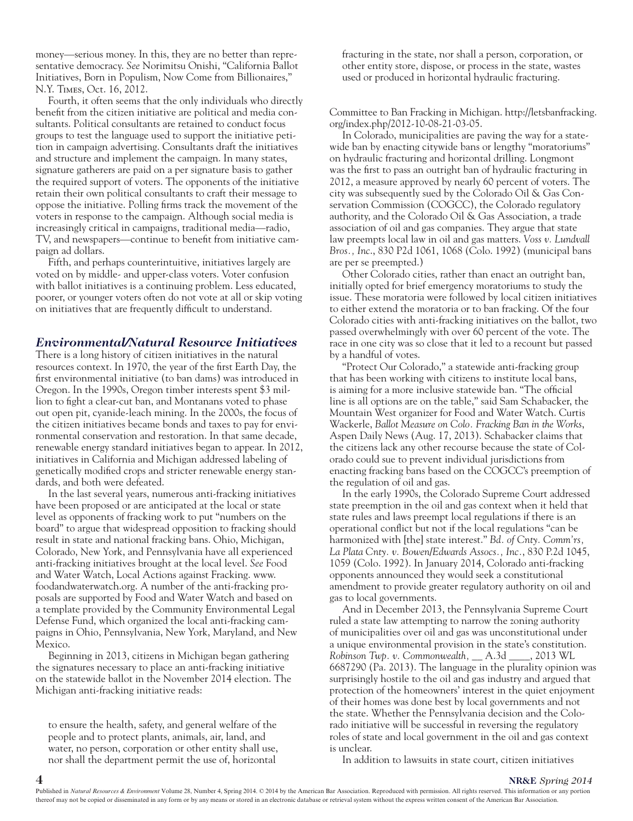money—serious money. In this, they are no better than representative democracy. *See* Norimitsu Onishi, "California Ballot Initiatives, Born in Populism, Now Come from Billionaires," N.Y. Times, Oct. 16, 2012.

Fourth, it often seems that the only individuals who directly benefit from the citizen initiative are political and media consultants. Political consultants are retained to conduct focus groups to test the language used to support the initiative petition in campaign advertising. Consultants draft the initiatives and structure and implement the campaign. In many states, signature gatherers are paid on a per signature basis to gather the required support of voters. The opponents of the initiative retain their own political consultants to craft their message to oppose the initiative. Polling firms track the movement of the voters in response to the campaign. Although social media is increasingly critical in campaigns, traditional media—radio, TV, and newspapers—continue to benefit from initiative campaign ad dollars.

Fifth, and perhaps counterintuitive, initiatives largely are voted on by middle- and upper-class voters. Voter confusion with ballot initiatives is a continuing problem. Less educated, poorer, or younger voters often do not vote at all or skip voting on initiatives that are frequently difficult to understand.

#### *Environmental/Natural Resource Initiatives*

There is a long history of citizen initiatives in the natural resources context. In 1970, the year of the first Earth Day, the first environmental initiative (to ban dams) was introduced in Oregon. In the 1990s, Oregon timber interests spent \$3 million to fight a clear-cut ban, and Montanans voted to phase out open pit, cyanide-leach mining. In the 2000s, the focus of the citizen initiatives became bonds and taxes to pay for environmental conservation and restoration. In that same decade, renewable energy standard initiatives began to appear. In 2012, initiatives in California and Michigan addressed labeling of genetically modified crops and stricter renewable energy standards, and both were defeated.

In the last several years, numerous anti-fracking initiatives have been proposed or are anticipated at the local or state level as opponents of fracking work to put "numbers on the board" to argue that widespread opposition to fracking should result in state and national fracking bans. Ohio, Michigan, Colorado, New York, and Pennsylvania have all experienced anti-fracking initiatives brought at the local level. *See* Food and Water Watch, Local Actions against Fracking. www. foodandwaterwatch.org. A number of the anti-fracking proposals are supported by Food and Water Watch and based on a template provided by the Community Environmental Legal Defense Fund, which organized the local anti-fracking campaigns in Ohio, Pennsylvania, New York, Maryland, and New Mexico.

Beginning in 2013, citizens in Michigan began gathering the signatures necessary to place an anti-fracking initiative on the statewide ballot in the November 2014 election. The Michigan anti-fracking initiative reads:

to ensure the health, safety, and general welfare of the people and to protect plants, animals, air, land, and water, no person, corporation or other entity shall use, nor shall the department permit the use of, horizontal

fracturing in the state, nor shall a person, corporation, or other entity store, dispose, or process in the state, wastes used or produced in horizontal hydraulic fracturing.

Committee to Ban Fracking in Michigan. http://letsbanfracking. org/index.php/2012-10-08-21-03-05.

In Colorado, municipalities are paving the way for a statewide ban by enacting citywide bans or lengthy "moratoriums" on hydraulic fracturing and horizontal drilling. Longmont was the first to pass an outright ban of hydraulic fracturing in 2012, a measure approved by nearly 60 percent of voters. The city was subsequently sued by the Colorado Oil & Gas Conservation Commission (COGCC), the Colorado regulatory authority, and the Colorado Oil & Gas Association, a trade association of oil and gas companies. They argue that state law preempts local law in oil and gas matters. *Voss v. Lundvall Bros., Inc*., 830 P2d 1061, 1068 (Colo. 1992) (municipal bans are per se preempted.)

Other Colorado cities, rather than enact an outright ban, initially opted for brief emergency moratoriums to study the issue. These moratoria were followed by local citizen initiatives to either extend the moratoria or to ban fracking. Of the four Colorado cities with anti-fracking initiatives on the ballot, two passed overwhelmingly with over 60 percent of the vote. The race in one city was so close that it led to a recount but passed by a handful of votes.

"Protect Our Colorado," a statewide anti-fracking group that has been working with citizens to institute local bans, is aiming for a more inclusive statewide ban. "The official line is all options are on the table," said Sam Schabacker, the Mountain West organizer for Food and Water Watch. Curtis Wackerle, *Ballot Measure on Colo. Fracking Ban in the Works*, Aspen Daily News (Aug. 17, 2013). Schabacker claims that the citizens lack any other recourse because the state of Colorado could sue to prevent individual jurisdictions from enacting fracking bans based on the COGCC's preemption of the regulation of oil and gas.

In the early 1990s, the Colorado Supreme Court addressed state preemption in the oil and gas context when it held that state rules and laws preempt local regulations if there is an operational conflict but not if the local regulations "can be harmonized with [the] state interest." *Bd. of Cnty. Comm'rs, La Plata Cnty. v. Bowen/Edwards Assocs., Inc.*, 830 P.2d 1045, 1059 (Colo. 1992). In January 2014, Colorado anti-fracking opponents announced they would seek a constitutional amendment to provide greater regulatory authority on oil and gas to local governments.

And in December 2013, the Pennsylvania Supreme Court ruled a state law attempting to narrow the zoning authority of municipalities over oil and gas was unconstitutional under a unique environmental provision in the state's constitution. *Robinson Twp. v. Commonwealth,* \_\_ A.3d \_\_\_\_, 2013 WL 6687290 (Pa. 2013). The language in the plurality opinion was surprisingly hostile to the oil and gas industry and argued that protection of the homeowners' interest in the quiet enjoyment of their homes was done best by local governments and not the state. Whether the Pennsylvania decision and the Colorado initiative will be successful in reversing the regulatory roles of state and local government in the oil and gas context is unclear.

In addition to lawsuits in state court, citizen initiatives